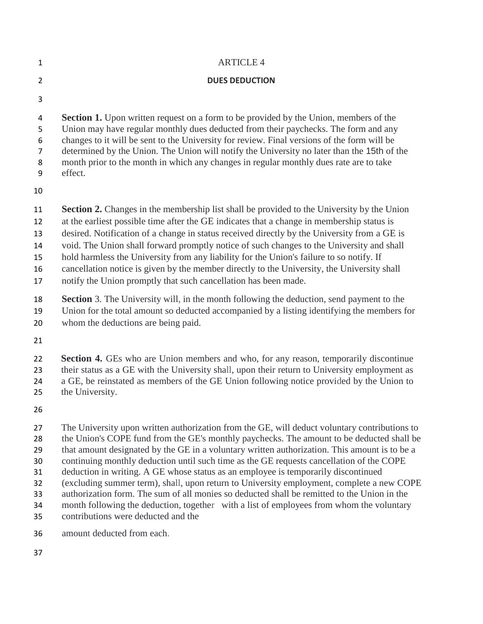|                       | <b>ARTICLE 4</b>                                                                                                                                                                                                                                                                                                                                                                                                                                                                       |
|-----------------------|----------------------------------------------------------------------------------------------------------------------------------------------------------------------------------------------------------------------------------------------------------------------------------------------------------------------------------------------------------------------------------------------------------------------------------------------------------------------------------------|
|                       | <b>DUES DEDUCTION</b>                                                                                                                                                                                                                                                                                                                                                                                                                                                                  |
| 3                     |                                                                                                                                                                                                                                                                                                                                                                                                                                                                                        |
| 4<br>5<br>6<br>8<br>9 | <b>Section 1.</b> Upon written request on a form to be provided by the Union, members of the<br>Union may have regular monthly dues deducted from their paychecks. The form and any<br>changes to it will be sent to the University for review. Final versions of the form will be<br>determined by the Union. The Union will notify the University no later than the 15th of the<br>month prior to the month in which any changes in regular monthly dues rate are to take<br>effect. |
| 10                    |                                                                                                                                                                                                                                                                                                                                                                                                                                                                                        |
| 11<br>12              | <b>Section 2.</b> Changes in the membership list shall be provided to the University by the Union<br>at the earliest possible time after the GE indicates that a change in membership status is                                                                                                                                                                                                                                                                                        |

- desired. Notification of a change in status received directly by the University from a GE is
- void. The Union shall forward promptly notice of such changes to the University and shall

hold harmless the University from any liability for the Union's failure to so notify. If

cancellation notice is given by the member directly to the University, the University shall

notify the Union promptly that such cancellation has been made.

 **Section** 3. The University will, in the month following the deduction, send payment to the Union for the total amount so deducted accompanied by a listing identifying the members for whom the deductions are being paid.

 **Section 4.** GEs who are Union members and who, for any reason, temporarily discontinue their status as a GE with the University shall, upon their return to University employment as a GE, be reinstated as members of the GE Union following notice provided by the Union to the University.

 The University upon written authorization from the GE, will deduct voluntary contributions to 28 the Union's COPE fund from the GE's monthly paychecks. The amount to be deducted shall be that amount designated by the GE in a voluntary written authorization. This amount is to be a continuing monthly deduction until such time as the GE requests cancellation of the COPE deduction in writing. A GE whose status as an employee is temporarily discontinued (excluding summer term), shall, upon return to University employment, complete a new COPE authorization form. The sum of all monies so deducted shall be remitted to the Union in the month following the deduction, together with a list of employees from whom the voluntary contributions were deducted and the

amount deducted from each.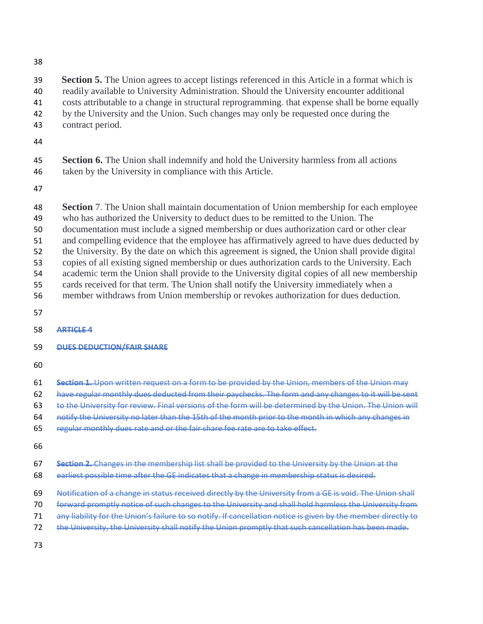**Section 5.** The Union agrees to accept listings referenced in this Article in a format which is readily available to University Administration. Should the University encounter additional costs attributable to a change in structural reprogramming. that expense shall be borne equally by the University and the Union. Such changes may only be requested once during the

- contract period.
- 

 **Section 6.** The Union shall indemnify and hold the University harmless from all actions taken by the University in compliance with this Article.

**Section** 7. The Union shall maintain documentation of Union membership for each employee

- who has authorized the University to deduct dues to be remitted to the Union. The
- documentation must include a signed membership or dues authorization card or other clear
- and compelling evidence that the employee has affirmatively agreed to have dues deducted by
- the University. By the date on which this agreement is signed, the Union shall provide digital
- copies of all existing signed membership or dues authorization cards to the University. Each
- academic term the Union shall provide to the University digital copies of all new membership
- cards received for that term. The Union shall notify the University immediately when a
- member withdraws from Union membership or revokes authorization for dues deduction.
- 
- **ARTICLE 4**

## **DUES DEDUCTION/FAIR SHARE**

- 
- **Section 1.** Upon written request on a form to be provided by the Union, members of the Union may

62 have regular monthly dues deducted from their paychecks. The form and any changes to it will be sent

- to the University for review. Final versions of the form will be determined by the Union. The Union will
- notify the University no later than the 15th of the month prior to the month in which any changes in
- regular monthly dues rate and or the fair share fee rate are to take effect.
- 
- **Section 2.** Changes in the membership list shall be provided to the University by the Union at the
- earliest possible time after the GE indicates that a change in membership status is desired.
- Notification of a change in status received directly by the University from a GE is void. The Union shall
- forward promptly notice of such changes to the University and shall hold harmless the University from
- 71 any liability for the Union's failure to so notify. If cancellation notice is given by the member directly to
- the University, the University shall notify the Union promptly that such cancellation has been made.
-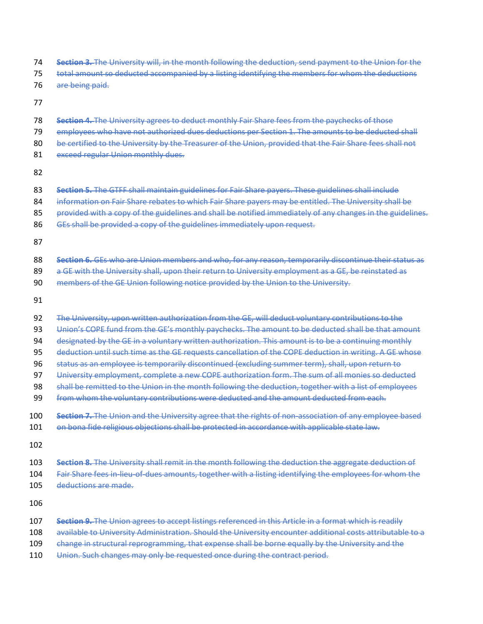- **Section 3.** The University will, in the month following the deduction, send payment to the Union for the
- total amount so deducted accompanied by a listing identifying the members for whom the deductions
- are being paid.
- 
- **Section 4.** The University agrees to deduct monthly Fair Share fees from the paychecks of those
- 79 employees who have not authorized dues deductions per Section 1. The amounts to be deducted shall
- 80 be certified to the University by the Treasurer of the Union, provided that the Fair Share fees shall not
- 81 exceed regular Union monthly dues.
- 
- **Section 5.** The GTFF shall maintain guidelines for Fair Share payers. These guidelines shall include
- information on Fair Share rebates to which Fair Share payers may be entitled. The University shall be
- 85 provided with a copy of the guidelines and shall be notified immediately of any changes in the guidelines.
- 86 GEs shall be provided a copy of the guidelines immediately upon request.
- 
- **Section 6.** GEs who are Union members and who, for any reason, temporarily discontinue their status as
- 89 a GE with the University shall, upon their return to University employment as a GE, be reinstated as
- members of the GE Union following notice provided by the Union to the University.
- 
- The University, upon written authorization from the GE, will deduct voluntary contributions to the
- 93 Union's COPE fund from the GE's monthly paychecks. The amount to be deducted shall be that amount
- designated by the GE in a voluntary written authorization. This amount is to be a continuing monthly
- deduction until such time as the GE requests cancellation of the COPE deduction in writing. A GE whose
- status as an employee is temporarily discontinued (excluding summer term), shall, upon return to
- 97 University employment, complete a new COPE authorization form. The sum of all monies so deducted
- 98 shall be remitted to the Union in the month following the deduction, together with a list of employees
- from whom the voluntary contributions were deducted and the amount deducted from each.
- **Section 7.** The Union and the University agree that the rights of non-association of any employee based
- 101 on bona fide religious objections shall be protected in accordance with applicable state law.
- 
- **Section 8.** The University shall remit in the month following the deduction the aggregate deduction of
- Fair Share fees in-lieu-of-dues amounts, together with a listing identifying the employees for whom the
- deductions are made.
- 
- **Section 9.** The Union agrees to accept listings referenced in this Article in a format which is readily
- available to University Administration. Should the University encounter additional costs attributable to a
- 109 change in structural reprogramming, that expense shall be borne equally by the University and the
- 110 Union. Such changes may only be requested once during the contract period.